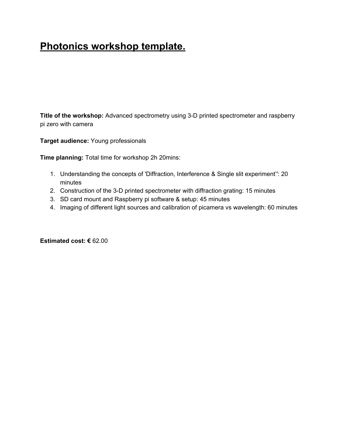# **Photonics workshop template.**

**Title of the workshop:** Advanced spectrometry using 3-D printed spectrometer and raspberry pi zero with camera

**Target audience:** Young professionals

**Time planning:** Total time for workshop 2h 20mins:

- 1. Understanding the concepts of 'Diffraction, Interference & Single slit experiment'': 20 minutes
- 2. Construction of the 3-D printed spectrometer with diffraction grating: 15 minutes
- 3. SD card mount and Raspberry pi software & setup: 45 minutes
- 4. Imaging of different light sources and calibration of picamera vs wavelength: 60 minutes

**Estimated cost: €** 62.00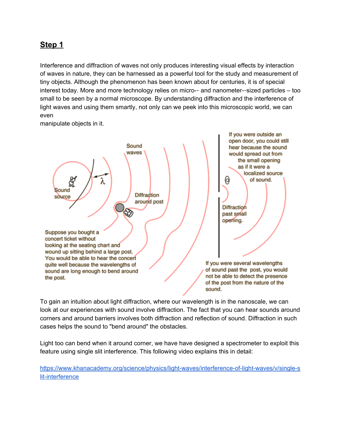### **Step 1**

Interference and diffraction of waves not only produces interesting visual effects by interaction of waves in nature, they can be harnessed as a powerful tool for the study and measurement of tiny objects. Although the phenomenon has been known about for centuries, it is of special interest today. More and more technology relies on micro-- and nanometer--sized particles – too small to be seen by a normal microscope. By understanding diffraction and the interference of light waves and using them smartly, not only can we peek into this microscopic world, we can even

If you were outside an open door, you could still Sound hear because the sound waves would spread out from the small opening as if it were a localized source of sound. (d Sound **Diffraction** source around post **Diffraction** D past small opening. Suppose you bought a concert ticket without looking at the seating chart and wound up sitting behind a large post. You would be able to hear the concert If you were several wavelengths quite well because the wavelengths of of sound past the post, you would sound are long enough to bend around not be able to detect the presence the post. of the post from the nature of the sound.

manipulate objects in it.

To gain an intuition about light diffraction, where our wavelength is in the nanoscale, we can look at our experiences with sound involve diffraction. The fact that you can hear sounds around corners and around barriers involves both diffraction and reflection of sound. Diffraction in such cases helps the sound to "bend around" the obstacles.

Light too can bend when it around corner, we have have designed a spectrometer to exploit this feature using single slit interference. This following video explains this in detail:

[https://www.khanacademy.org/science/physics/light-waves/interference-of-light-waves/v/single-s](https://www.khanacademy.org/science/physics/light-waves/interference-of-light-waves/v/single-slit-interference) [lit-interference](https://www.khanacademy.org/science/physics/light-waves/interference-of-light-waves/v/single-slit-interference)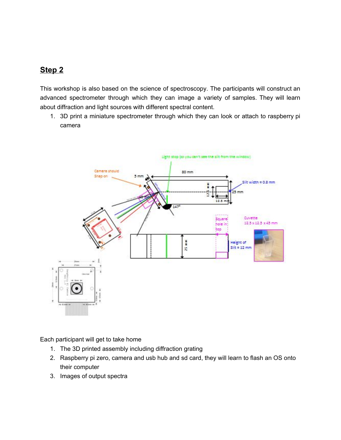## **Step 2**

This workshop is also based on the science of spectroscopy. The participants will construct an advanced spectrometer through which they can image a variety of samples. They will learn about diffraction and light sources with different spectral content.

1. 3D print a miniature spectrometer through which they can look or attach to raspberry pi camera



Each participant will get to take home

- 1. The 3D printed assembly including diffraction grating
- 2. Raspberry pi zero, camera and usb hub and sd card, they will learn to flash an OS onto their computer
- 3. Images of output spectra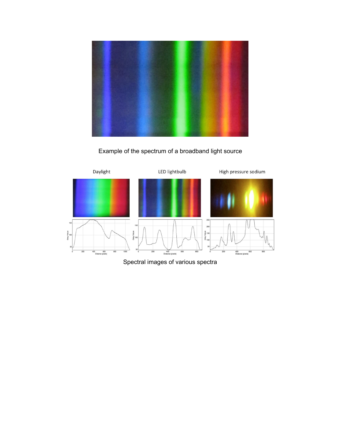

Example of the spectrum of a broadband light source



Spectral images of various spectra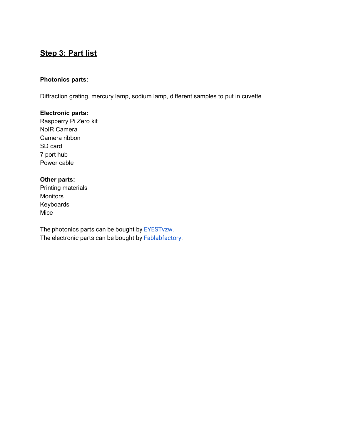# **Step 3: Part list**

#### **Photonics parts:**

Diffraction grating, mercury lamp, sodium lamp, different samples to put in cuvette

#### **Electronic parts:**

Raspberry Pi Zero kit NoIR Camera Camera ribbon SD card 7 port hub Power cable

#### **Other parts:**

Printing materials **Monitors** Keyboards Mice

The photonics parts can be bought by [EYESTvzw.](http://www.eyest.eu/) The electronic parts can be bought by [Fablabfactory.](http://www.fablabfactory.com/)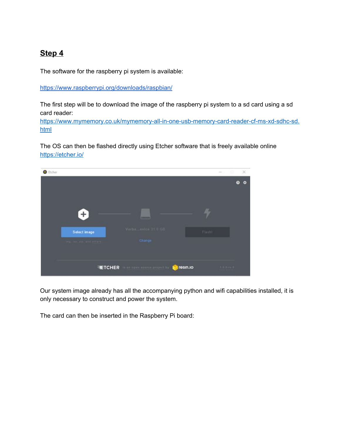## **Step 4**

The software for the raspberry pi system is available:

<https://www.raspberrypi.org/downloads/raspbian/>

The first step will be to download the image of the raspberry pi system to a sd card using a sd card reader:

[https://www.mymemory.co.uk/mymemory-all-in-one-usb-memory-card-reader-cf-ms-xd-sdhc-sd.](https://www.mymemory.co.uk/mymemory-all-in-one-usb-memory-card-reader-cf-ms-xd-sdhc-sd.html) [html](https://www.mymemory.co.uk/mymemory-all-in-one-usb-memory-card-reader-cf-ms-xd-sdhc-sd.html)

The OS can then be flashed directly using Etcher software that is freely available online <https://etcher.io/>

| C Etcher                         |                                                         |          | $\sim$           | ×<br>$\begin{array}{c} \square \end{array}$ |
|----------------------------------|---------------------------------------------------------|----------|------------------|---------------------------------------------|
|                                  |                                                         |          |                  | ٠                                           |
| Select image<br>all called sheet | <b>CARD AND STATE</b><br>Varba  evice 31.0.08<br>Change |          | Flash            |                                             |
|                                  | <b>TETCHER Experience and the second line</b>           | resin.io | $1.1.1 - r$ r. 1 |                                             |

Our system image already has all the accompanying python and wifi capabilities installed, it is only necessary to construct and power the system.

The card can then be inserted in the Raspberry Pi board: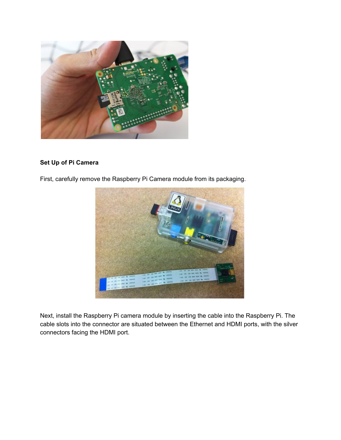

#### **Set Up of Pi Camera**

First, carefully remove the Raspberry Pi Camera module from its packaging.



Next, install the Raspberry Pi camera module by inserting the cable into the Raspberry Pi. The cable slots into the connector are situated between the Ethernet and HDMI ports, with the silver connectors facing the HDMI port.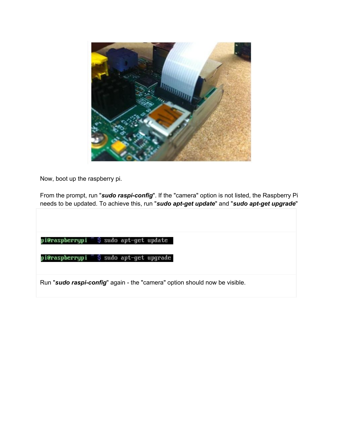

Now, boot up the raspberry pi.

From the prompt, run "*sudo raspi-config*". If the "camera" option is not listed, the Raspberry Pi needs to be updated. To achieve this, run "*sudo apt-get update*" and "*sudo apt-get upgrade*"

pi@raspberrypi ~ \$ sudo apt-get update

pi@raspberrypi ~ \$ sudo apt-get upgrade

Run "*sudo raspi-config*" again - the "camera" option should now be visible.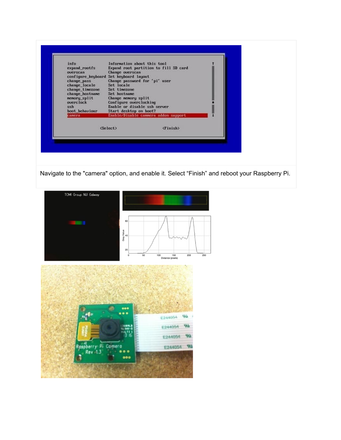| (Finish)<br><select></select> | info<br>expand_rootfs<br>overscan<br>configure_keyboard<br>change pass<br>change_locale<br>change timezone<br>change hostname<br>nemory split<br>overclock<br>ssh<br>boot behaviour<br>camera | Information about this tool<br><b>Change overscan</b><br>Set keyboard layout<br>Change password for 'pi' user<br>Set locale<br>Set tinezone<br>Set hostname<br>Change nemory split<br>Configure overclocking<br>Enable or disable ssh server<br>Start desktop on boot? | Expand root partition to fill SD card<br>Enable/Disable cannera addon support |  |
|-------------------------------|-----------------------------------------------------------------------------------------------------------------------------------------------------------------------------------------------|------------------------------------------------------------------------------------------------------------------------------------------------------------------------------------------------------------------------------------------------------------------------|-------------------------------------------------------------------------------|--|
|                               |                                                                                                                                                                                               |                                                                                                                                                                                                                                                                        |                                                                               |  |

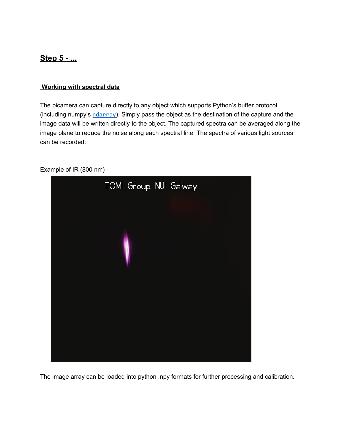### **Step 5 - ...**

#### **Working with spectral data**

The picamera can capture directly to any object which supports Python's buffer protocol (including numpy's  $ndarray$ ). Simply pass the object as the destination of the capture and the image data will be written directly to the object. The captured spectra can be averaged along the image plane to reduce the noise along each spectral line. The spectra of various light sources can be recorded:



Example of IR (800 nm)

The image array can be loaded into python .npy formats for further processing and calibration.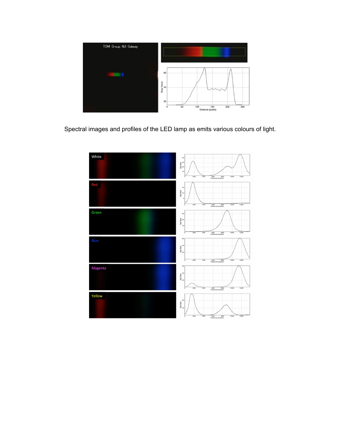

Spectral images and profiles of the LED lamp as emits various colours of light.

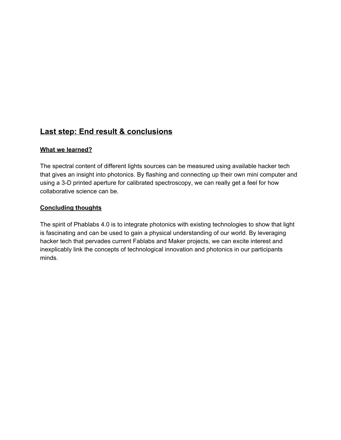### **Last step: End result & conclusions**

#### **What we learned?**

The spectral content of different lights sources can be measured using available hacker tech that gives an insight into photonics. By flashing and connecting up their own mini computer and using a 3-D printed aperture for calibrated spectroscopy, we can really get a feel for how collaborative science can be.

#### **Concluding thoughts**

The spirit of Phablabs 4.0 is to integrate photonics with existing technologies to show that light is fascinating and can be used to gain a physical understanding of our world. By leveraging hacker tech that pervades current Fablabs and Maker projects, we can excite interest and inexplicably link the concepts of technological innovation and photonics in our participants minds.